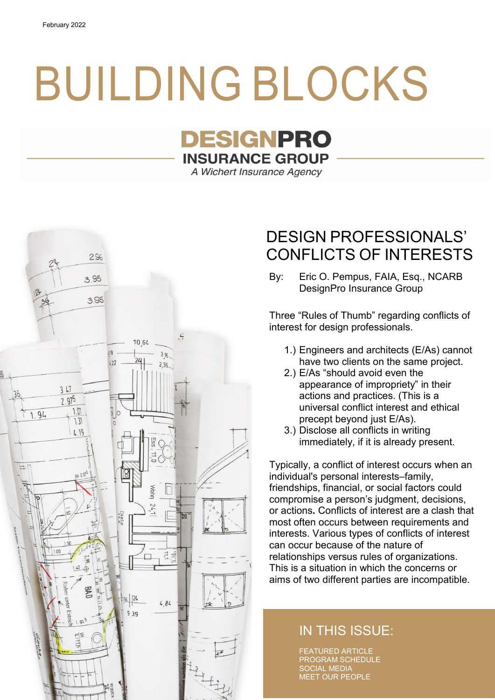# BUILDING BLOCKS

# **DESIGNPRO INSURANCE GROUP**

A Wichert Insurance Agency



# DESIGN PROFESSIONALS' CONFLICTS OF INTERESTS

By: Eric O. Pempus, FAIA, Esq., NCARB DesignPro Insurance Group

Three "Rules of Thumb" regarding conflicts of interest for design professionals.

- 1.) Engineers and architects (E/As) cannot have two clients on the same project.
- 2.) E/As "should avoid even the appearance of impropriety" in their actions and practices. (This is a universal conflict interest and ethical precept beyond just E/As).
- 3.) Disclose all conflicts in writing immediately, if it is already present.

Typically, a conflict of interest occurs when an individual's personal interests–family, friendships, financial, or social factors could compromise a person's judgment, decisions, or actions**.** Conflicts of interest are a clash that most often occurs between requirements and interests. Various types of conflicts of interest can occur because of the nature of relationships versus rules of organizations. This is a situation in which the concerns or aims of two different parties are incompatible.

### IN THIS ISSUE:

FEATURED ARTICLE PROGRAM SCHEDULE SOCIAL MEDIA MEET OUR PEOPLE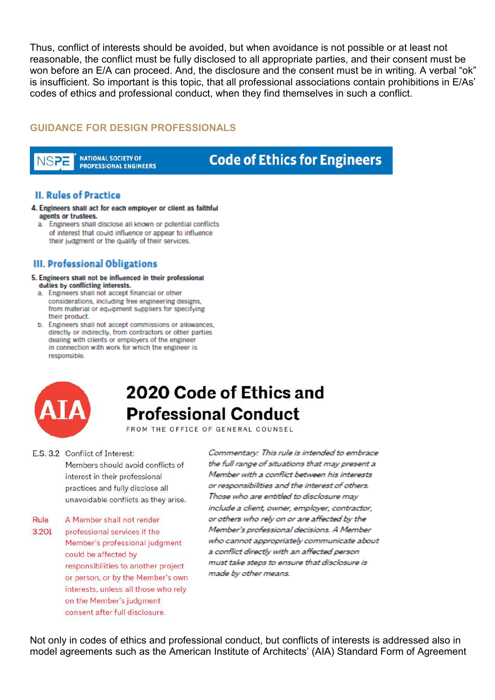Thus, conflict of interests should be avoided, but when avoidance is not possible or at least not reasonable, the conflict must be fully disclosed to all appropriate parties, and their consent must be won before an E/A can proceed. And, the disclosure and the consent must be in writing. A verbal "ok" is insufficient. So important is this topic, that all professional associations contain prohibitions in E/As' codes of ethics and professional conduct, when they find themselves in such a conflict.

#### **GUIDANCE FOR DESIGN PROFESSIONALS**

**NATIONAL SOCIETY OF** NSPE **PROFESSIONAL ENGINEERS** 

### **Code of Ethics for Engineers**

#### **II. Rules of Practice**

- 4. Engineers shall act for each employer or client as faithful agents or trustees.
	- a. Engineers shall disclose all known or potential conflicts of interest that could influence or appear to influence their judgment or the quality of their services.

#### III. Professional Obligations

- 5. Engineers shall not be influenced in their professional duties by conflicting interests.
	- a. Engineers shall not accept financial or other considerations, including free engineering designs, from material or equipment suppliers for specifying their product.
	- b. Engineers shall not accept commissions or allowances. directly or indirectly, from contractors or other parties dealing with clients or employers of the engineer in connection with work for which the engineer is responsible.



# 2020 Code of Ethics and **Professional Conduct**

FROM THE OFFICE OF GENERAL COUNSEL

- E.S. 3.2 Conflict of Interest: Members should avoid conflicts of interest in their professional practices and fully disclose all unavoidable conflicts as they arise.
- A Member shall not render Rule 3.201 professional services if the Member's professional judgment could be affected by responsibilities to another project or person, or by the Member's own interests, unless all those who rely on the Member's judgment consent after full disclosure.

Commentary: This rule is intended to embrace the full range of situations that may present a Member with a conflict between his interests or responsibilities and the interest of others. Those who are entitled to disclosure may include a client, owner, employer, contractor, or others who rely on or are affected by the Member's professional decisions. A Member who cannot appropriately communicate about a conflict directly with an affected person must take steps to ensure that disclosure is made by other means.

Not only in codes of ethics and professional conduct, but conflicts of interests is addressed also in model agreements such as the American Institute of Architects' (AIA) Standard Form of Agreement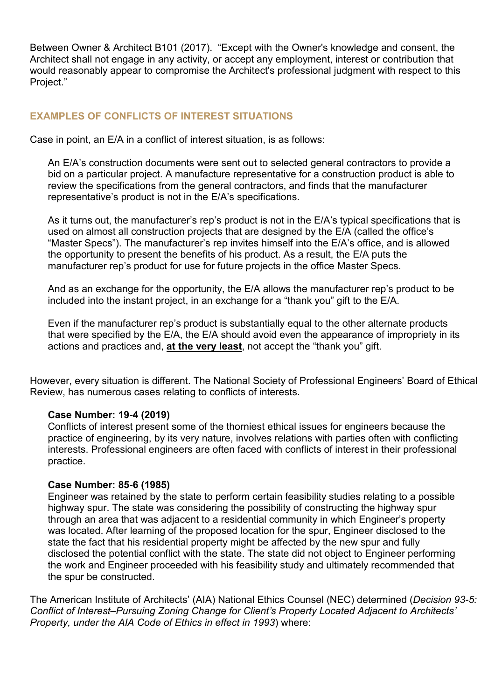Between Owner & Architect B101 (2017). "Except with the Owner's knowledge and consent, the Architect shall not engage in any activity, or accept any employment, interest or contribution that would reasonably appear to compromise the Architect's professional judgment with respect to this Project."

#### **EXAMPLES OF CONFLICTS OF INTEREST SITUATIONS**

Case in point, an E/A in a conflict of interest situation, is as follows:

An E/A's construction documents were sent out to selected general contractors to provide a bid on a particular project. A manufacture representative for a construction product is able to review the specifications from the general contractors, and finds that the manufacturer representative's product is not in the E/A's specifications.

As it turns out, the manufacturer's rep's product is not in the E/A's typical specifications that is used on almost all construction projects that are designed by the E/A (called the office's "Master Specs"). The manufacturer's rep invites himself into the E/A's office, and is allowed the opportunity to present the benefits of his product. As a result, the E/A puts the manufacturer rep's product for use for future projects in the office Master Specs.

And as an exchange for the opportunity, the E/A allows the manufacturer rep's product to be included into the instant project, in an exchange for a "thank you" gift to the E/A.

Even if the manufacturer rep's product is substantially equal to the other alternate products that were specified by the E/A, the E/A should avoid even the appearance of impropriety in its actions and practices and, **at the very least**, not accept the "thank you" gift.

However, every situation is different. The National Society of Professional Engineers' Board of Ethical Review, has numerous cases relating to conflicts of interests.

#### **Case Number: 19-4 (2019)**

Conflicts of interest present some of the thorniest ethical issues for engineers because the practice of engineering, by its very nature, involves relations with parties often with conflicting interests. Professional engineers are often faced with conflicts of interest in their professional practice.

#### **Case Number: 85-6 (1985)**

Engineer was retained by the state to perform certain feasibility studies relating to a possible highway spur. The state was considering the possibility of constructing the highway spur through an area that was adjacent to a residential community in which Engineer's property was located. After learning of the proposed location for the spur, Engineer disclosed to the state the fact that his residential property might be affected by the new spur and fully disclosed the potential conflict with the state. The state did not object to Engineer performing the work and Engineer proceeded with his feasibility study and ultimately recommended that the spur be constructed.

The American Institute of Architects' (AIA) National Ethics Counsel (NEC) determined (*Decision 93-5: Conflict of Interest–Pursuing Zoning Change for Client's Property Located Adjacent to Architects' Property, under the AIA Code of Ethics in effect in 1993*) where: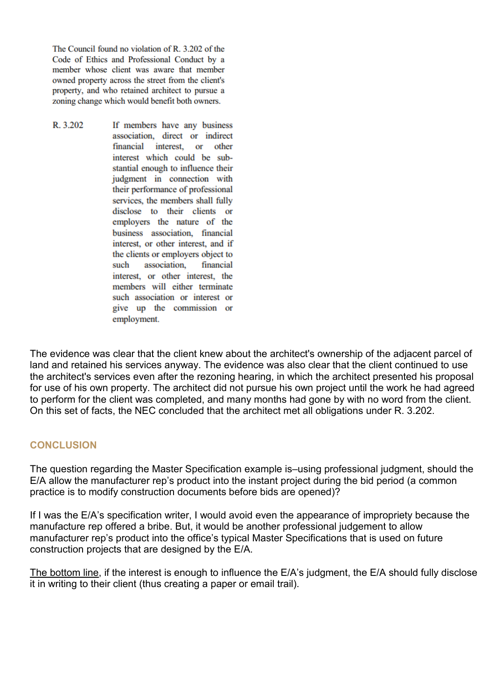The Council found no violation of R. 3.202 of the Code of Ethics and Professional Conduct by a member whose client was aware that member owned property across the street from the client's property, and who retained architect to pursue a zoning change which would benefit both owners.

R. 3.202 If members have any business association, direct or indirect financial interest, or other interest which could be substantial enough to influence their judgment in connection with their performance of professional services, the members shall fully disclose to their clients or employers the nature of the business association, financial interest, or other interest, and if the clients or employers object to such association, financial interest, or other interest, the members will either terminate such association or interest or give up the commission or employment.

The evidence was clear that the client knew about the architect's ownership of the adjacent parcel of land and retained his services anyway. The evidence was also clear that the client continued to use the architect's services even after the rezoning hearing, in which the architect presented his proposal for use of his own property. The architect did not pursue his own project until the work he had agreed to perform for the client was completed, and many months had gone by with no word from the client. On this set of facts, the NEC concluded that the architect met all obligations under R. 3.202.

#### **CONCLUSION**

The question regarding the Master Specification example is–using professional judgment, should the E/A allow the manufacturer rep's product into the instant project during the bid period (a common practice is to modify construction documents before bids are opened)?

If I was the E/A's specification writer, I would avoid even the appearance of impropriety because the manufacture rep offered a bribe. But, it would be another professional judgement to allow manufacturer rep's product into the office's typical Master Specifications that is used on future construction projects that are designed by the E/A.

The bottom line, if the interest is enough to influence the E/A's judgment, the E/A should fully disclose it in writing to their client (thus creating a paper or email trail).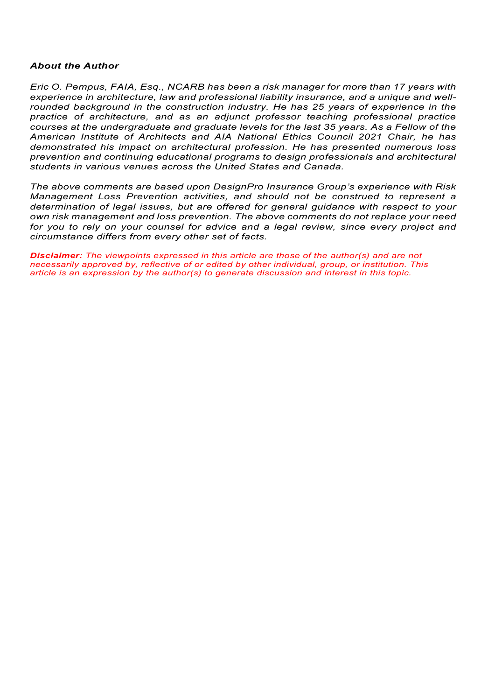#### *About the Author*

*Eric O. Pempus, FAIA, Esq., NCARB has been a risk manager for more than 17 years with experience in architecture, law and professional liability insurance, and a unique and wellrounded background in the construction industry. He has 25 years of experience in the practice of architecture, and as an adjunct professor teaching professional practice courses at the undergraduate and graduate levels for the last 35 years. As a Fellow of the American Institute of Architects and AIA National Ethics Council 2021 Chair, he has demonstrated his impact on architectural profession. He has presented numerous loss prevention and continuing educational programs to design professionals and architectural students in various venues across the United States and Canada.*

*The above comments are based upon DesignPro Insurance Group's experience with Risk Management Loss Prevention activities, and should not be construed to represent a determination of legal issues, but are offered for general guidance with respect to your own risk management and loss prevention. The above comments do not replace your need*  for you to rely on your counsel for advice and a legal review, since every project and *circumstance differs from every other set of facts.*

*Disclaimer: The viewpoints expressed in this article are those of the author(s) and are not necessarily approved by, reflective of or edited by other individual, group, or institution. This article is an expression by the author(s) to generate discussion and interest in this topic.*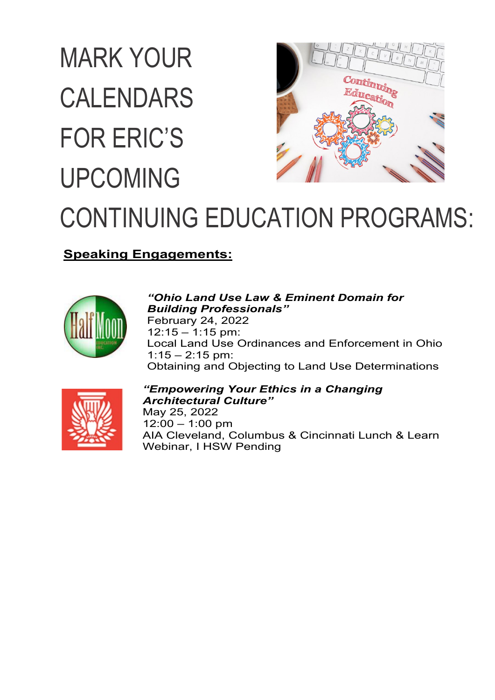# MARK YOUR ontinuing CALENDARS lucat FOR ERIC'S UPCOMING CONTINUING EDUCATION PROGRAMS:

### **Speaking Engagements:**



#### *"Ohio Land Use Law & Eminent Domain for Building Professionals"* February 24, 2022  $12:15 - 1:15$  pm: Local Land Use Ordinances and Enforcement in Ohio  $1:15 - 2:15$  pm: Obtaining and Objecting to Land Use Determinations



#### *"Empowering Your Ethics in a Changing Architectural Culture"*

May 25, 2022 12:00 – 1:00 pm AIA Cleveland, Columbus & Cincinnati Lunch & Learn Webinar, I HSW Pending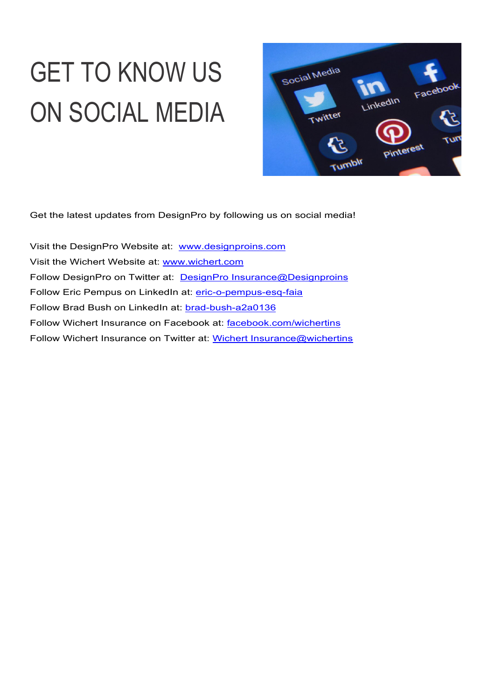# GET TO KNOW US ON SOCIAL MEDIA



Get the latest updates from DesignPro by following us on social media!

Visit the DesignPro Website at: [www.designproins.com](http://www.designproins.com/) Visit the Wichert Website at: [www.wichert.com](http://www.wichert.com/)  Follow DesignPro on Twitter at: [DesignPro Insurance@Designproins](https://twitter.com/Designproins) Follow Eric Pempus on LinkedIn at: [eric-o-pempus-esq-faia](https://www.linkedin.com/in/eric-o-pempus-esq-faia/) Follow Brad Bush on LinkedIn at: **brad-bush-a2a0136** Follow Wichert Insurance on Facebook at: [facebook.com/wichertins](https://www.facebook.com/wichertins/) Follow Wichert Insurance on Twitter at: [Wichert Insurance@wichertins](https://twitter.com/wichertins)